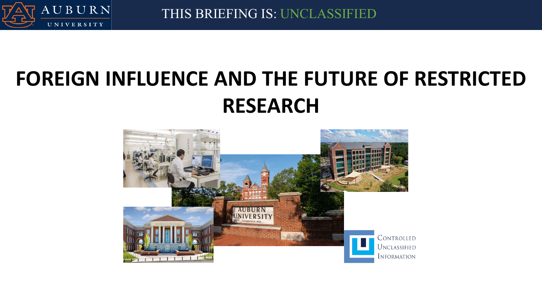

THIS BRIEFING IS: UNCLASSIFIED

## **FOREIGN INFLUENCE AND THE FUTURE OF RESTRICTED RESEARCH**

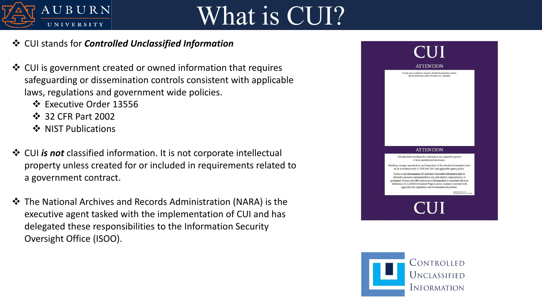

## What is CUI?

## CUI stands for *Controlled Unclassified Information*

- CUI is government created or owned information that requires safeguarding or dissemination controls consistent with applicable laws, regulations and government wide policies.
	- Executive Order 13556
	- $\div$  **32 CFR Part 2002**
	- ❖ NIST Publications
- CUI *is not* classified information. It is not corporate intellectual property unless created for or included in requirements related to a government contract.
- The National Archives and Records Administration (NARA) is the executive agent tasked with the implementation of CUI and has delegated these responsibilities to the Information Security Oversight Office (ISOO).

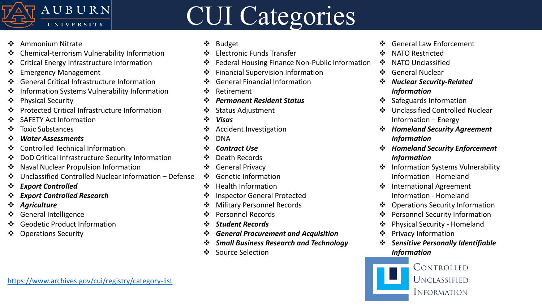

## CUI Categories

- ❖ Ammonium Nitrate
- Chemical-terrorism Vulnerability Information
- Critical Energy Infrastructure Information
- ❖ Emergency Management
- General Critical Infrastructure Information
- Information Systems Vulnerability Information
- ❖ Physical Security
- Protected Critical Infrastructure Information
- SAFETY Act Information
- ❖ Toxic Substances
- *Water Assessments*
- Controlled Technical Information
- DoD Critical Infrastructure Security Information
- ❖ Naval Nuclear Propulsion Information
- Unclassified Controlled Nuclear Information Defense
- *Export Controlled*
- *Export Controlled Research*
- *Agriculture*
- General Intelligence
- Geodetic Product Information
- Operations Security
- ❖ Budget
- Electronic Funds Transfer
- Federal Housing Finance Non-Public Information
- ❖ Financial Supervision Information
- **❖** General Financial Information
- ❖ Retirement
- *Permanent Resident Status*
- Status Adjustment
- *Visas*
- Accident Investigation
- ❖ DNA
- *Contract Use*
- ❖ Death Records
- General Privacy
- ❖ Genetic Information
- ❖ Health Information
- **❖** Inspector General Protected
- Military Personnel Records
- ❖ Personnel Records
- *Student Records*
- *General Procurement and Acquisition*
- *Small Business Research and Technology*
- ❖ Source Selection
- ❖ General Law Enforcement
- ❖ NATO Restricted
- ❖ NATO Unclassified
- General Nuclear
- *Nuclear Security-Related Information*
- ❖ Safeguards Information
- Unclassified Controlled Nuclear Information – Energy
- *Homeland Security Agreement Information*
- *Homeland Security Enforcement Information*
- ❖ Information Systems Vulnerability Information - Homeland
- ❖ International Agreement Information - Homeland
- Operations Security Information
- Personnel Security Information
- Physical Security Homeland
- ❖ Privacy Information
- *Sensitive Personally Identifiable Information*

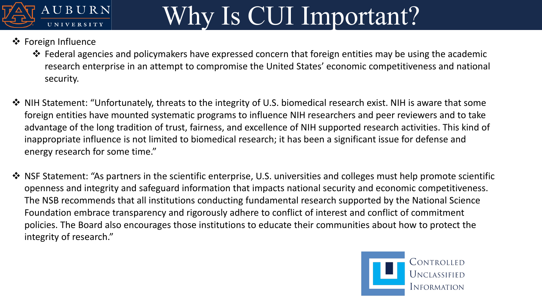

# Why Is CUI Important?

## ❖ Foreign Influence

- Federal agencies and policymakers have expressed concern that foreign entities may be using the academic research enterprise in an attempt to compromise the United States' economic competitiveness and national security.
- \* NIH Statement: "Unfortunately, threats to the integrity of U.S. biomedical research exist. NIH is aware that some foreign entities have mounted systematic programs to influence NIH researchers and peer reviewers and to take advantage of the long tradition of trust, fairness, and excellence of NIH supported research activities. This kind of inappropriate influence is not limited to biomedical research; it has been a significant issue for defense and energy research for some time."
- ◆ NSF Statement: "As partners in the scientific enterprise, U.S. universities and colleges must help promote scientific openness and integrity and safeguard information that impacts national security and economic competitiveness. The NSB recommends that all institutions conducting fundamental research supported by the National Science Foundation embrace transparency and rigorously adhere to conflict of interest and conflict of commitment policies. The Board also encourages those institutions to educate their communities about how to protect the integrity of research."

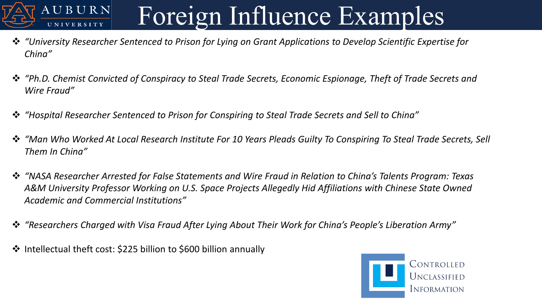## Foreign Influence Examples UBURN

- *"University Researcher Sentenced to Prison for Lying on Grant Applications to Develop Scientific Expertise for China"*
- *"Ph.D. Chemist Convicted of Conspiracy to Steal Trade Secrets, Economic Espionage, Theft of Trade Secrets and Wire Fraud"*
- *"Hospital Researcher Sentenced to Prison for Conspiring to Steal Trade Secrets and Sell to China"*
- *"Man Who Worked At Local Research Institute For 10 Years Pleads Guilty To Conspiring To Steal Trade Secrets, Sell Them In China"*
- *"NASA Researcher Arrested for False Statements and Wire Fraud in Relation to China's Talents Program: Texas A&M University Professor Working on U.S. Space Projects Allegedly Hid Affiliations with Chinese State Owned Academic and Commercial Institutions"*
- *"Researchers Charged with Visa Fraud After Lying About Their Work for China's People's Liberation Army"*
- $\cdot$  Intellectual theft cost: \$225 billion to \$600 billion annually

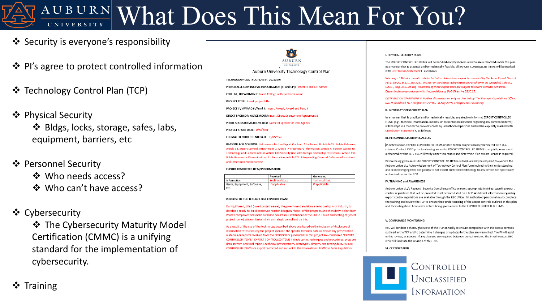# AUBURN What Does This Mean For You?

- ❖ Security is everyone's responsibility
- ❖ PI's agree to protect controlled information
- **❖** Technology Control Plan (TCP)
- ❖ Physical Security

❖ Bldgs, locks, storage, safes, labs, equipment, barriers, etc

### ❖ Personnel Security

- ❖ Who needs access?
- ❖ Who can't have access?

### Cybersecurity

**❖ The Cybersecurity Maturity Model** Certification (CMMC) is a unifying standard for the implementation of cybersecurity.

**AUBURN** UNIVERSITY Auburn University Technology Control Plan TECHNOLOGY CONTROL PLAN #: 20210504 PRINCIPAL & COPRINCIPAL INVESTIGATOR (PI and CPI): Insert PI and CPI names COLLEGE; DEPARTMENT: Insert College or Department name PROJECT TITLE: Insert project title PROJECT # / AWARD # /Fund #: Insert Project, Award and Fund # DIRECT SPONSOR; AGREEMENT#: Insert Direct Sponsor and Agreement # PRIME SPONSOR; AGREEMENT#: Name of sponsor or DoD Agency PROJECT START DATE: D/M/Year ESTIMATED PROJECT END DATE: D/M/Year REASONS FOR CONTROL: List reasons for the Export Control. Attachment B: Article 27. Public Releases.,

Article 34. Export Control; Attachment C: Article IX Proprietary Information, Article X. Foreign Access to Technology and Export Control, Article XIII. Security (includes foreign citizenship restriction), Article XVI. Public Release or Dissemination of Information, Article XIX. Safeguarding Covered Defense Information and Cyber Incident Reporting

#### **EXPORT RESTRICTED ITEM/INFORMATION:**

|                                     | Received              | Generated             |  |
|-------------------------------------|-----------------------|-----------------------|--|
| Information                         | <b>Technical Data</b> | <b>Technical Data</b> |  |
| Items, Equipment, Software,<br>Etc. | If applicable         | If applicable         |  |

#### PURPOSE OF THE TECHNOLOGY CONTROL PLAN:

During Phase I, titled (insert project name), the government envisions a relationship with industry to develop a ready-to-build prototype reactor design in Phase I of the program, and then down-select from Phase I companies and make award to one Phase I Institution for the Phase II build and testing of (insert project name). Auburn University is a strategic consultant on this.

As a result of the use of the technology described above and based on the inclusion of disclosure of information restrictions by the project sponsor, the specific technical data as well as any presentation materials or reports received from the SPONSOR or generated for this project are considered "EXPORT CONTROLLED ITEMS." EXPORT CONTROLLED ITEMS include tactics techniques and procedures, program data, interim and final reports, technical presentations, prototypes, designs, and testing data. EXPORT CONTROLLED ITEMS are export restricted and subject to the International Traffic in Arms Regulations

#### I. PHYSICAL SECURITY PLAN

The EXPORT CONTROLLED ITEMS will be handled only by individuals who are authorized under this plan. In a manner that is practical and/or technically feasible, all EXPORT CONTROLLED ITEMS will be marked with Distribution Statement F, as follows:

Warning - "This document contains technical data whose export is restricted by the Arms Export Control Act (Title 22, U.S. C. Sec 2751, et seq.) or the Export Administration Act of 1979, as amended, Title 50, U.S.C.., App. 2401 et seq. Violations of these export laws are subject to severe criminal penalties. Disseminate in accordance with the provisions of DoD Directive 5230.25.

DISTRIBUTION STATEMENT F. Further dissemination only as directed by The Strategic Capabilities Office, 675 N. Randolph St, Arlington VA 22203, 28 Aug 2018, or higher DoD authority.

#### **II. INFORMATION SECURITY PLAN**

In a manner that is practical and/or technically feasible, any electronic format EXPORT CONTROLLED ITEMS (e.g., technical information, memos, or presentation materials regarding any controlled items) will be kept in a manner to prevent access by unauthorized persons and will be explicitly marked with Distribution Statement F, as follows:

#### **III. PERSONNEL SECURITY & ACCESS**

As noted above, EXPORT CONTROLLED ITEMS related to this project can only be shared with U.S. citizens. Contact RSCO prior to allowing access to EXPORT CONTROLLED ITEMS to any AU persons not authorized by this TCP. RSC will verify citizenship status and determine if an export license is required.

Before being given access to EXPORT CONTROLLED ITEMS, individuals may be required to execute the Auburn University Acknowledgement of Technology Control Plan form indicating their understanding and acknowledging their obligations to not export controlled technology to any person not specifically authorized under this TCP.

#### **IV. TRAINING and AWARENESS**

Auburn University's Research Security Compliance office ensures appropriate training regarding export control regulations that will be provided to all persons listed on a TCP. Additional information regarding export control regulations are available through the RSC office. All authorized personnel must complete the training and review the TCP to ensure their understanding of the access controls outlined in this plan and their obligations hereunder before being given access to the EXPORT CONTROLLED ITEMS.

#### V. COMPLIANCE MONITORING

RSC will conduct a thorough review of this TCP annually to ensure compliance with the access controls outlined in the TCP and to determine if changes or updates to the plan are warranted. The PI will assist in this review, as needed. If any changes are required between annual reviews, the PI will contact RSC who will facilitate the revision of this TCP.

#### **VI. CERTIFICATION**



## $\div$  Training